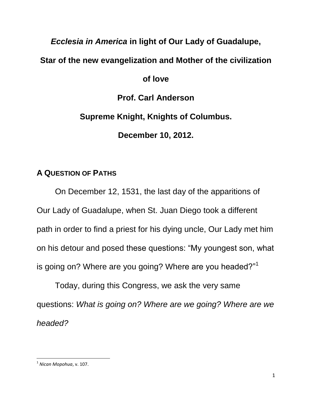# *Ecclesia in America* **in light of Our Lady of Guadalupe,**

# **Star of the new evangelization and Mother of the civilization**

## **of love**

**Prof. Carl Anderson**

**Supreme Knight, Knights of Columbus.**

**December 10, 2012.** 

# **A QUESTION OF PATHS**

On December 12, 1531, the last day of the apparitions of Our Lady of Guadalupe, when St. Juan Diego took a different path in order to find a priest for his dying uncle, Our Lady met him on his detour and posed these questions: "My youngest son, what is going on? Where are you going? Where are you headed?"<sup>1</sup>

Today, during this Congress, we ask the very same questions: *What is going on? Where are we going? Where are we headed?* 

 $\overline{\phantom{a}}$ 1 *Nican Mopohua*, v. 107.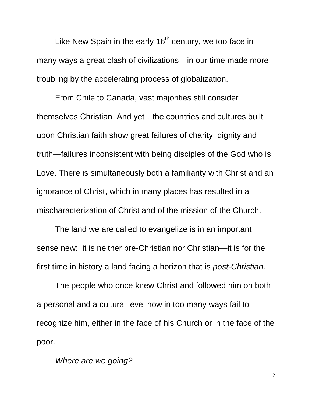Like New Spain in the early  $16<sup>th</sup>$  century, we too face in many ways a great clash of civilizations—in our time made more troubling by the accelerating process of globalization.

From Chile to Canada, vast majorities still consider themselves Christian. And yet…the countries and cultures built upon Christian faith show great failures of charity, dignity and truth—failures inconsistent with being disciples of the God who is Love. There is simultaneously both a familiarity with Christ and an ignorance of Christ, which in many places has resulted in a mischaracterization of Christ and of the mission of the Church.

The land we are called to evangelize is in an important sense new: it is neither pre-Christian nor Christian—it is for the first time in history a land facing a horizon that is *post-Christian*.

The people who once knew Christ and followed him on both a personal and a cultural level now in too many ways fail to recognize him, either in the face of his Church or in the face of the poor.

*Where are we going?*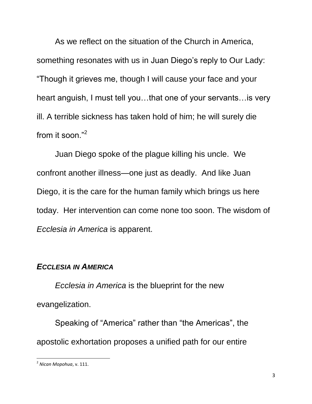As we reflect on the situation of the Church in America, something resonates with us in Juan Diego's reply to Our Lady: ―Though it grieves me, though I will cause your face and your heart anguish, I must tell you…that one of your servants…is very ill. A terrible sickness has taken hold of him; he will surely die from it soon." $2$ 

Juan Diego spoke of the plague killing his uncle. We confront another illness—one just as deadly. And like Juan Diego, it is the care for the human family which brings us here today. Her intervention can come none too soon. The wisdom of *Ecclesia in America* is apparent.

## *ECCLESIA IN AMERICA*

*Ecclesia in America* is the blueprint for the new evangelization.

Speaking of "America" rather than "the Americas", the apostolic exhortation proposes a unified path for our entire

 $\overline{\phantom{a}}$ 2 *Nican Mopohua*, v. 111.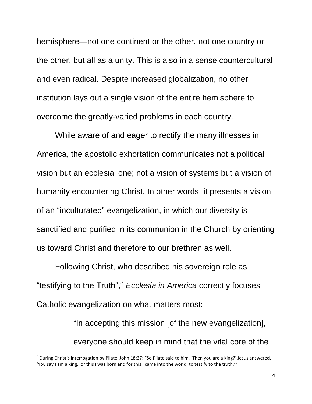hemisphere—not one continent or the other, not one country or the other, but all as a unity. This is also in a sense countercultural and even radical. Despite increased globalization, no other institution lays out a single vision of the entire hemisphere to overcome the greatly-varied problems in each country.

While aware of and eager to rectify the many illnesses in America, the apostolic exhortation communicates not a political vision but an ecclesial one; not a vision of systems but a vision of humanity encountering Christ. In other words, it presents a vision of an "inculturated" evangelization, in which our diversity is sanctified and purified in its communion in the Church by orienting us toward Christ and therefore to our brethren as well.

Following Christ, who described his sovereign role as ―testifying to the Truth‖,<sup>3</sup> *Ecclesia in America* correctly focuses Catholic evangelization on what matters most:

> "In accepting this mission [of the new evangelization], everyone should keep in mind that the vital core of the

 $^3$  During Christ's interrogation by Pilate, John 18:37: "So Pilate said to him, 'Then you are a king?' Jesus answered, 'You say I am a king.For this I was born and for this I came into the world, to testify to the truth.'"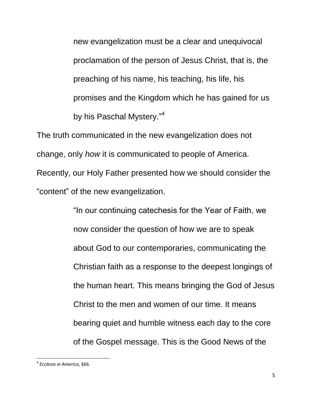new evangelization must be a clear and unequivocal proclamation of the person of Jesus Christ, that is, the preaching of his name, his teaching, his life, his promises and the Kingdom which he has gained for us by his Paschal Mystery."<sup>4</sup>

The truth communicated in the new evangelization does not change, only *how* it is communicated to people of America. Recently, our Holy Father presented how we should consider the "content" of the new evangelization.

> "In our continuing catechesis for the Year of Faith, we now consider the question of how we are to speak about God to our contemporaries, communicating the Christian faith as a response to the deepest longings of the human heart. This means bringing the God of Jesus Christ to the men and women of our time. It means bearing quiet and humble witness each day to the core of the Gospel message. This is the Good News of the

<sup>4</sup> *Ecclesia in America*, §66.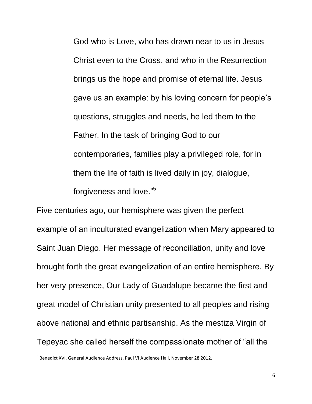God who is Love, who has drawn near to us in Jesus Christ even to the Cross, and who in the Resurrection brings us the hope and promise of eternal life. Jesus gave us an example: by his loving concern for people's questions, struggles and needs, he led them to the Father. In the task of bringing God to our contemporaries, families play a privileged role, for in them the life of faith is lived daily in joy, dialogue, forgiveness and love."<sup>5</sup>

Five centuries ago, our hemisphere was given the perfect example of an inculturated evangelization when Mary appeared to Saint Juan Diego. Her message of reconciliation, unity and love brought forth the great evangelization of an entire hemisphere. By her very presence, Our Lady of Guadalupe became the first and great model of Christian unity presented to all peoples and rising above national and ethnic partisanship. As the mestiza Virgin of Tepeyac she called herself the compassionate mother of "all the

l

6

<sup>&</sup>lt;sup>5</sup> Benedict XVI, General Audience Address, Paul VI Audience Hall, November 28 2012.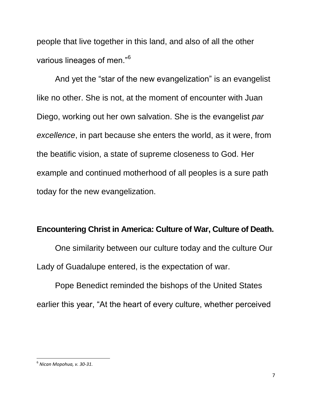people that live together in this land, and also of all the other various lineages of men."<sup>6</sup>

And yet the "star of the new evangelization" is an evangelist like no other. She is not, at the moment of encounter with Juan Diego, working out her own salvation. She is the evangelist *par excellence*, in part because she enters the world, as it were, from the beatific vision, a state of supreme closeness to God. Her example and continued motherhood of all peoples is a sure path today for the new evangelization.

#### **Encountering Christ in America: Culture of War, Culture of Death.**

One similarity between our culture today and the culture Our Lady of Guadalupe entered, is the expectation of war.

Pope Benedict reminded the bishops of the United States earlier this year, "At the heart of every culture, whether perceived

<sup>6</sup> *Nican Mopohua, v. 30-31.*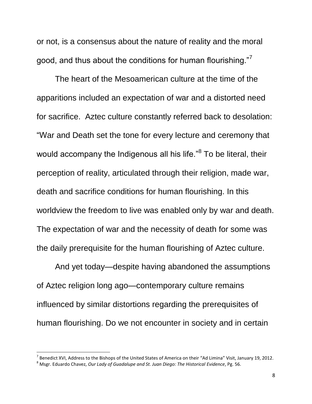or not, is a consensus about the nature of reality and the moral good, and thus about the conditions for human flourishing."

The heart of the Mesoamerican culture at the time of the apparitions included an expectation of war and a distorted need for sacrifice. Aztec culture constantly referred back to desolation: "War and Death set the tone for every lecture and ceremony that would accompany the Indigenous all his life."<sup>8</sup> To be literal, their perception of reality, articulated through their religion, made war, death and sacrifice conditions for human flourishing. In this worldview the freedom to live was enabled only by war and death. The expectation of war and the necessity of death for some was the daily prerequisite for the human flourishing of Aztec culture.

And yet today—despite having abandoned the assumptions of Aztec religion long ago—contemporary culture remains influenced by similar distortions regarding the prerequisites of human flourishing. Do we not encounter in society and in certain

 $^7$  Benedict XVI, Address to the Bishops of the United States of America on their "Ad Limina" Visit, January 19, 2012.

<sup>8</sup> Msgr. Eduardo Chavez, *Our Lady of Guadalupe and St. Juan Diego: The Historical Evidence*, Pg. 56.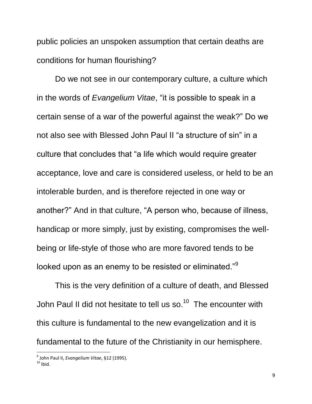public policies an unspoken assumption that certain deaths are conditions for human flourishing?

Do we not see in our contemporary culture, a culture which in the words of *Evangelium Vitae*, "it is possible to speak in a certain sense of a war of the powerful against the weak?" Do we not also see with Blessed John Paul II "a structure of sin" in a culture that concludes that "a life which would require greater acceptance, love and care is considered useless, or held to be an intolerable burden, and is therefore rejected in one way or another?" And in that culture, "A person who, because of illness, handicap or more simply, just by existing, compromises the wellbeing or life-style of those who are more favored tends to be looked upon as an enemy to be resisted or eliminated."<sup>9</sup>

This is the very definition of a culture of death, and Blessed John Paul II did not hesitate to tell us so.<sup>10</sup> The encounter with this culture is fundamental to the new evangelization and it is fundamental to the future of the Christianity in our hemisphere.

<sup>9</sup> John Paul II, *Evangelium Vitae*, §12 (1995).

 $10$  Ibid.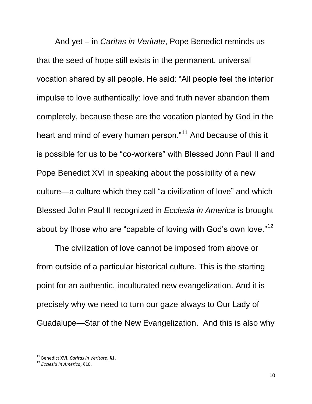And yet – in *Caritas in Veritate*, Pope Benedict reminds us that the seed of hope still exists in the permanent, universal vocation shared by all people. He said: "All people feel the interior impulse to love authentically: love and truth never abandon them completely, because these are the vocation planted by God in the heart and mind of every human person."<sup>11</sup> And because of this it is possible for us to be "co-workers" with Blessed John Paul II and Pope Benedict XVI in speaking about the possibility of a new culture—a culture which they call "a civilization of love" and which Blessed John Paul II recognized in *Ecclesia in America* is brought about by those who are "capable of loving with God's own love."<sup>12</sup>

The civilization of love cannot be imposed from above or from outside of a particular historical culture. This is the starting point for an authentic, inculturated new evangelization. And it is precisely why we need to turn our gaze always to Our Lady of Guadalupe—Star of the New Evangelization. And this is also why

<sup>11</sup> Benedict XVI, *Caritas in Veritate*, §1.

<sup>12</sup> *Ecclesia in America*, §10.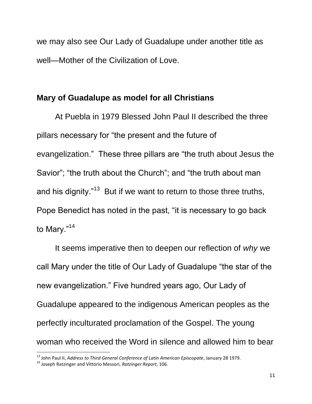we may also see Our Lady of Guadalupe under another title as well—Mother of the Civilization of Love.

### **Mary of Guadalupe as model for all Christians**

At Puebla in 1979 Blessed John Paul II described the three pillars necessary for "the present and the future of evangelization." These three pillars are "the truth about Jesus the Savior"; "the truth about the Church"; and "the truth about man and his dignity."<sup>13</sup> But if we want to return to those three truths, Pope Benedict has noted in the past, "it is necessary to go back to Mary."<sup>14</sup>

It seems imperative then to deepen our reflection of *why* we call Mary under the title of Our Lady of Guadalupe "the star of the new evangelization." Five hundred years ago, Our Lady of Guadalupe appeared to the indigenous American peoples as the perfectly inculturated proclamation of the Gospel. The young woman who received the Word in silence and allowed him to bear

<sup>13</sup> John Paul II, *Address to Third General Conference of Latin American Episcopate*, January 28 1979.

<sup>14</sup> Joseph Ratzinger and Vittorio Messori, *Ratzinger Report*, 106.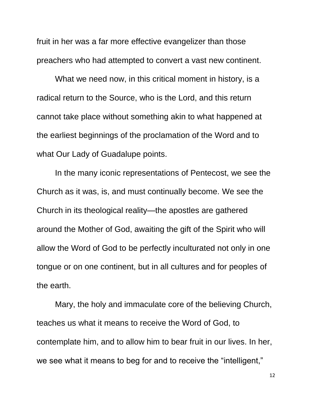fruit in her was a far more effective evangelizer than those preachers who had attempted to convert a vast new continent.

What we need now, in this critical moment in history, is a radical return to the Source, who is the Lord, and this return cannot take place without something akin to what happened at the earliest beginnings of the proclamation of the Word and to what Our Lady of Guadalupe points.

In the many iconic representations of Pentecost, we see the Church as it was, is, and must continually become. We see the Church in its theological reality—the apostles are gathered around the Mother of God, awaiting the gift of the Spirit who will allow the Word of God to be perfectly inculturated not only in one tongue or on one continent, but in all cultures and for peoples of the earth.

Mary, the holy and immaculate core of the believing Church, teaches us what it means to receive the Word of God, to contemplate him, and to allow him to bear fruit in our lives. In her, we see what it means to beg for and to receive the "intelligent,"

12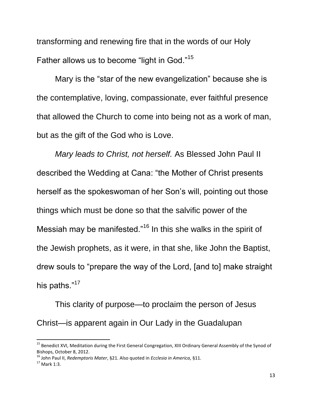transforming and renewing fire that in the words of our Holy Father allows us to become "light in God."<sup>15</sup>

Mary is the "star of the new evangelization" because she is the contemplative, loving, compassionate, ever faithful presence that allowed the Church to come into being not as a work of man, but as the gift of the God who is Love.

*Mary leads to Christ, not herself.* As Blessed John Paul II described the Wedding at Cana: "the Mother of Christ presents herself as the spokeswoman of her Son's will, pointing out those things which must be done so that the salvific power of the Messiah may be manifested."<sup>16</sup> In this she walks in the spirit of the Jewish prophets, as it were, in that she, like John the Baptist, drew souls to "prepare the way of the Lord, [and to] make straight his paths."<sup>17</sup>

This clarity of purpose—to proclaim the person of Jesus Christ—is apparent again in Our Lady in the Guadalupan

 $\overline{a}$ 

<sup>&</sup>lt;sup>15</sup> Benedict XVI, Meditation during the First General Congregation, XIII Ordinary General Assembly of the Synod of Bishops, October 8, 2012.

<sup>16</sup> John Paul II, *Redemptoris Mater*, §21. Also quoted in *Ecclesia in America*, §11.

 $17$  Mark 1:3.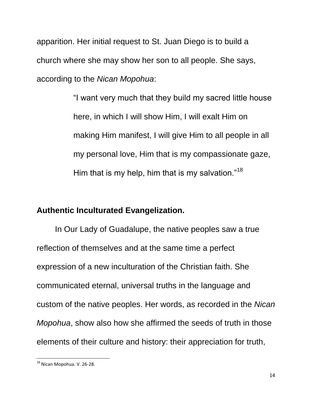apparition. Her initial request to St. Juan Diego is to build a church where she may show her son to all people. She says, according to the *Nican Mopohua*:

> "I want very much that they build my sacred little house here, in which I will show Him, I will exalt Him on making Him manifest, I will give Him to all people in all my personal love, Him that is my compassionate gaze, Him that is my help, him that is my salvation."<sup>18</sup>

## **Authentic Inculturated Evangelization.**

In Our Lady of Guadalupe, the native peoples saw a true reflection of themselves and at the same time a perfect expression of a new inculturation of the Christian faith. She communicated eternal, universal truths in the language and custom of the native peoples. Her words, as recorded in the *Nican Mopohua*, show also how she affirmed the seeds of truth in those elements of their culture and history: their appreciation for truth,

 $\overline{\phantom{a}}$ <sup>18</sup> Nican Mopohua. V. 26-28.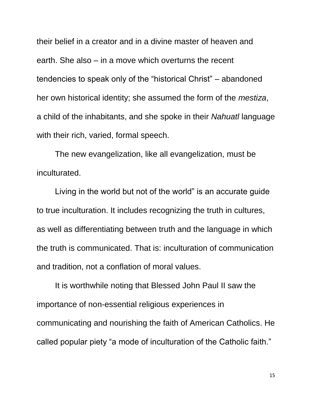their belief in a creator and in a divine master of heaven and earth. She also – in a move which overturns the recent tendencies to speak only of the "historical Christ" – abandoned her own historical identity; she assumed the form of the *mestiza*, a child of the inhabitants, and she spoke in their *Nahuatl* language with their rich, varied, formal speech.

The new evangelization, like all evangelization, must be inculturated.

Living in the world but not of the world" is an accurate guide to true inculturation. It includes recognizing the truth in cultures, as well as differentiating between truth and the language in which the truth is communicated. That is: inculturation of communication and tradition, not a conflation of moral values.

It is worthwhile noting that Blessed John Paul II saw the importance of non-essential religious experiences in communicating and nourishing the faith of American Catholics. He called popular piety "a mode of inculturation of the Catholic faith."

15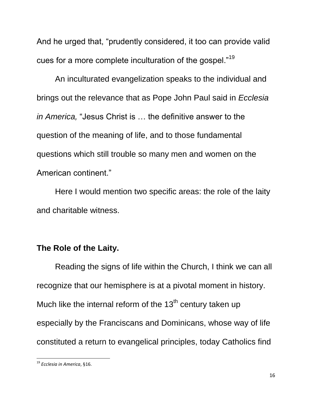And he urged that, "prudently considered, it too can provide valid cues for a more complete inculturation of the gospel."<sup>19</sup>

An inculturated evangelization speaks to the individual and brings out the relevance that as Pope John Paul said in *Ecclesia in America,* "Jesus Christ is ... the definitive answer to the question of the meaning of life, and to those fundamental questions which still trouble so many men and women on the American continent."

Here I would mention two specific areas: the role of the laity and charitable witness.

### **The Role of the Laity.**

Reading the signs of life within the Church, I think we can all recognize that our hemisphere is at a pivotal moment in history. Much like the internal reform of the  $13<sup>th</sup>$  century taken up especially by the Franciscans and Dominicans, whose way of life constituted a return to evangelical principles, today Catholics find

<sup>19</sup> *Ecclesia in America*, §16.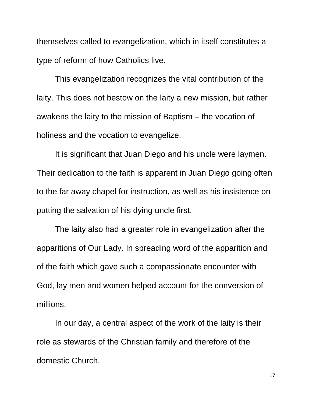themselves called to evangelization, which in itself constitutes a type of reform of how Catholics live.

This evangelization recognizes the vital contribution of the laity. This does not bestow on the laity a new mission, but rather awakens the laity to the mission of Baptism – the vocation of holiness and the vocation to evangelize.

It is significant that Juan Diego and his uncle were laymen. Their dedication to the faith is apparent in Juan Diego going often to the far away chapel for instruction, as well as his insistence on putting the salvation of his dying uncle first.

The laity also had a greater role in evangelization after the apparitions of Our Lady. In spreading word of the apparition and of the faith which gave such a compassionate encounter with God, lay men and women helped account for the conversion of millions.

In our day, a central aspect of the work of the laity is their role as stewards of the Christian family and therefore of the domestic Church.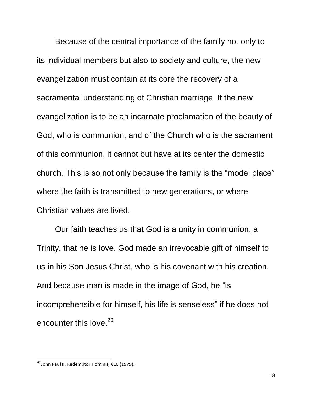Because of the central importance of the family not only to its individual members but also to society and culture, the new evangelization must contain at its core the recovery of a sacramental understanding of Christian marriage. If the new evangelization is to be an incarnate proclamation of the beauty of God, who is communion, and of the Church who is the sacrament of this communion, it cannot but have at its center the domestic church. This is so not only because the family is the "model place" where the faith is transmitted to new generations, or where Christian values are lived.

Our faith teaches us that God is a unity in communion, a Trinity, that he is love. God made an irrevocable gift of himself to us in his Son Jesus Christ, who is his covenant with his creation. And because man is made in the image of God, he "is" incomprehensible for himself, his life is senseless" if he does not encounter this love. $20$ 

 $20$  John Paul II, Redemptor Hominis, §10 (1979).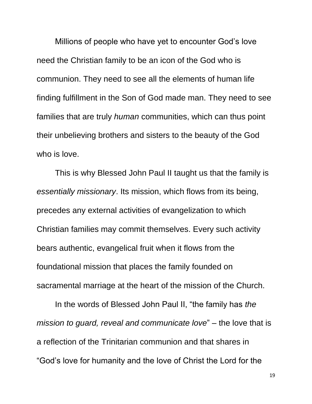Millions of people who have yet to encounter God's love need the Christian family to be an icon of the God who is communion. They need to see all the elements of human life finding fulfillment in the Son of God made man. They need to see families that are truly *human* communities, which can thus point their unbelieving brothers and sisters to the beauty of the God who is love.

This is why Blessed John Paul II taught us that the family is *essentially missionary*. Its mission, which flows from its being, precedes any external activities of evangelization to which Christian families may commit themselves. Every such activity bears authentic, evangelical fruit when it flows from the foundational mission that places the family founded on sacramental marriage at the heart of the mission of the Church.

In the words of Blessed John Paul II, "the family has *the mission to guard, reveal and communicate love*" – the love that is a reflection of the Trinitarian communion and that shares in ―God's love for humanity and the love of Christ the Lord for the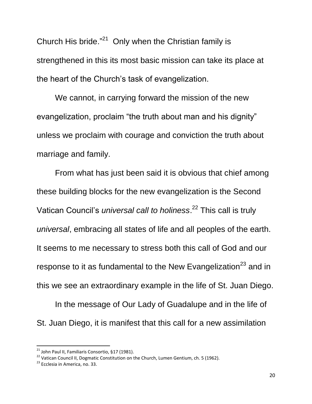Church His bride. $^{21}$  Only when the Christian family is strengthened in this its most basic mission can take its place at the heart of the Church's task of evangelization.

We cannot, in carrying forward the mission of the new evangelization, proclaim "the truth about man and his dignity" unless we proclaim with courage and conviction the truth about marriage and family.

From what has just been said it is obvious that chief among these building blocks for the new evangelization is the Second Vatican Council's *universal call to holiness*. <sup>22</sup> This call is truly *universal*, embracing all states of life and all peoples of the earth. It seems to me necessary to stress both this call of God and our response to it as fundamental to the New Evangelization<sup>23</sup> and in this we see an extraordinary example in the life of St. Juan Diego.

In the message of Our Lady of Guadalupe and in the life of St. Juan Diego, it is manifest that this call for a new assimilation

<sup>&</sup>lt;sup>21</sup> John Paul II, Familiaris Consortio, §17 (1981).

<sup>&</sup>lt;sup>22</sup> Vatican Council II, Dogmatic Constitution on the Church, Lumen Gentium, ch. 5 (1962).

<sup>&</sup>lt;sup>23</sup> Ecclesia in America, no. 33.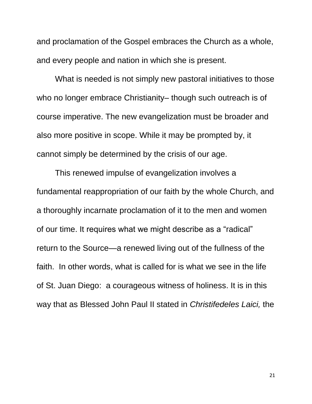and proclamation of the Gospel embraces the Church as a whole, and every people and nation in which she is present.

What is needed is not simply new pastoral initiatives to those who no longer embrace Christianity– though such outreach is of course imperative. The new evangelization must be broader and also more positive in scope. While it may be prompted by, it cannot simply be determined by the crisis of our age.

This renewed impulse of evangelization involves a fundamental reappropriation of our faith by the whole Church, and a thoroughly incarnate proclamation of it to the men and women of our time. It requires what we might describe as a "radical" return to the Source—a renewed living out of the fullness of the faith. In other words, what is called for is what we see in the life of St. Juan Diego: a courageous witness of holiness. It is in this way that as Blessed John Paul II stated in *Christifedeles Laici,* the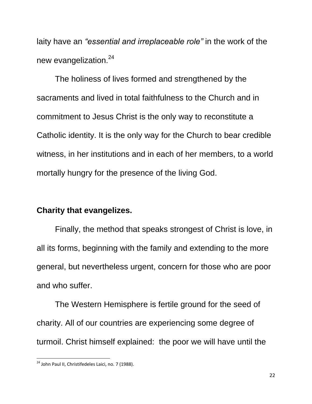laity have an *"essential and irreplaceable role"* in the work of the new evangelization.<sup>24</sup>

The holiness of lives formed and strengthened by the sacraments and lived in total faithfulness to the Church and in commitment to Jesus Christ is the only way to reconstitute a Catholic identity. It is the only way for the Church to bear credible witness, in her institutions and in each of her members, to a world mortally hungry for the presence of the living God.

### **Charity that evangelizes.**

Finally, the method that speaks strongest of Christ is love, in all its forms, beginning with the family and extending to the more general, but nevertheless urgent, concern for those who are poor and who suffer.

The Western Hemisphere is fertile ground for the seed of charity. All of our countries are experiencing some degree of turmoil. Christ himself explained: the poor we will have until the

<sup>&</sup>lt;sup>24</sup> John Paul II, Christifedeles Laici, no. 7 (1988).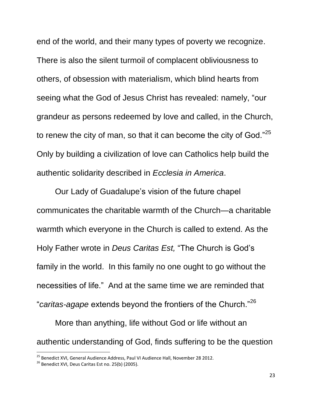end of the world, and their many types of poverty we recognize. There is also the silent turmoil of complacent obliviousness to others, of obsession with materialism, which blind hearts from seeing what the God of Jesus Christ has revealed: namely, "our grandeur as persons redeemed by love and called, in the Church, to renew the city of man, so that it can become the city of God. $^{25}$ Only by building a civilization of love can Catholics help build the authentic solidarity described in *Ecclesia in America*.

Our Lady of Guadalupe's vision of the future chapel communicates the charitable warmth of the Church—a charitable warmth which everyone in the Church is called to extend. As the Holy Father wrote in *Deus Caritas Est*, "The Church is God's family in the world. In this family no one ought to go without the necessities of life.‖ And at the same time we are reminded that "caritas-agape extends beyond the frontiers of the Church."<sup>26</sup>

More than anything, life without God or life without an authentic understanding of God, finds suffering to be the question

<sup>&</sup>lt;sup>25</sup> Benedict XVI, General Audience Address, Paul VI Audience Hall, November 28 2012.

 $26$  Benedict XVI, Deus Caritas Est no. 25(b) (2005).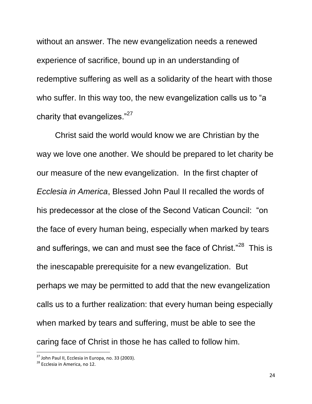without an answer. The new evangelization needs a renewed experience of sacrifice, bound up in an understanding of redemptive suffering as well as a solidarity of the heart with those who suffer. In this way too, the new evangelization calls us to "a charity that evangelizes." $27$ 

Christ said the world would know we are Christian by the way we love one another. We should be prepared to let charity be our measure of the new evangelization. In the first chapter of *Ecclesia in America*, Blessed John Paul II recalled the words of his predecessor at the close of the Second Vatican Council: "on the face of every human being, especially when marked by tears and sufferings, we can and must see the face of Christ."<sup>28</sup> This is the inescapable prerequisite for a new evangelization. But perhaps we may be permitted to add that the new evangelization calls us to a further realization: that every human being especially when marked by tears and suffering, must be able to see the caring face of Christ in those he has called to follow him.

 $27$  John Paul II, Ecclesia in Europa, no. 33 (2003).

<sup>&</sup>lt;sup>28</sup> Ecclesia in America, no 12.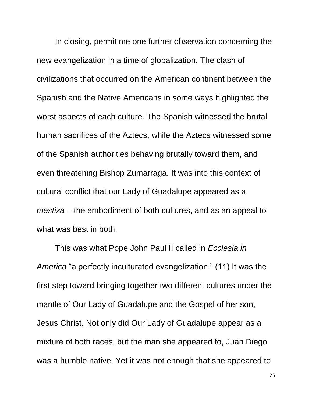In closing, permit me one further observation concerning the new evangelization in a time of globalization. The clash of civilizations that occurred on the American continent between the Spanish and the Native Americans in some ways highlighted the worst aspects of each culture. The Spanish witnessed the brutal human sacrifices of the Aztecs, while the Aztecs witnessed some of the Spanish authorities behaving brutally toward them, and even threatening Bishop Zumarraga. It was into this context of cultural conflict that our Lady of Guadalupe appeared as a *mestiza* – the embodiment of both cultures, and as an appeal to what was best in both.

This was what Pope John Paul II called in *Ecclesia in America* "a perfectly inculturated evangelization." (11) It was the first step toward bringing together two different cultures under the mantle of Our Lady of Guadalupe and the Gospel of her son, Jesus Christ. Not only did Our Lady of Guadalupe appear as a mixture of both races, but the man she appeared to, Juan Diego was a humble native. Yet it was not enough that she appeared to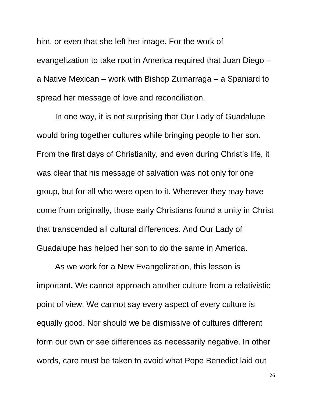him, or even that she left her image. For the work of evangelization to take root in America required that Juan Diego – a Native Mexican – work with Bishop Zumarraga – a Spaniard to spread her message of love and reconciliation.

In one way, it is not surprising that Our Lady of Guadalupe would bring together cultures while bringing people to her son. From the first days of Christianity, and even during Christ's life, it was clear that his message of salvation was not only for one group, but for all who were open to it. Wherever they may have come from originally, those early Christians found a unity in Christ that transcended all cultural differences. And Our Lady of Guadalupe has helped her son to do the same in America.

As we work for a New Evangelization, this lesson is important. We cannot approach another culture from a relativistic point of view. We cannot say every aspect of every culture is equally good. Nor should we be dismissive of cultures different form our own or see differences as necessarily negative. In other words, care must be taken to avoid what Pope Benedict laid out

26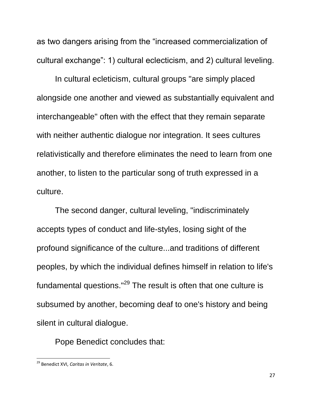as two dangers arising from the "increased commercialization of cultural exchange": 1) cultural eclecticism, and 2) cultural leveling.

In cultural ecleticism, cultural groups "are simply placed alongside one another and viewed as substantially equivalent and interchangeable" often with the effect that they remain separate with neither authentic dialogue nor integration. It sees cultures relativistically and therefore eliminates the need to learn from one another, to listen to the particular song of truth expressed in a culture.

The second danger, cultural leveling, "indiscriminately accepts types of conduct and life-styles, losing sight of the profound significance of the culture...and traditions of different peoples, by which the individual defines himself in relation to life's fundamental questions."<sup>29</sup> The result is often that one culture is subsumed by another, becoming deaf to one's history and being silent in cultural dialogue.

Pope Benedict concludes that:

<sup>29</sup> Benedict XVI, *Caritas in Veritate*, 6.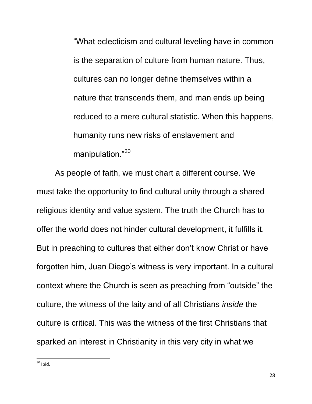―What eclecticism and cultural leveling have in common is the separation of culture from human nature. Thus, cultures can no longer define themselves within a nature that transcends them, and man ends up being reduced to a mere cultural statistic. When this happens, humanity runs new risks of enslavement and manipulation."30

As people of faith, we must chart a different course. We must take the opportunity to find cultural unity through a shared religious identity and value system. The truth the Church has to offer the world does not hinder cultural development, it fulfills it. But in preaching to cultures that either don't know Christ or have forgotten him, Juan Diego's witness is very important. In a cultural context where the Church is seen as preaching from "outside" the culture, the witness of the laity and of all Christians *inside* the culture is critical. This was the witness of the first Christians that sparked an interest in Christianity in this very city in what we

 $\overline{\phantom{a}}$  $30$  Ibid.